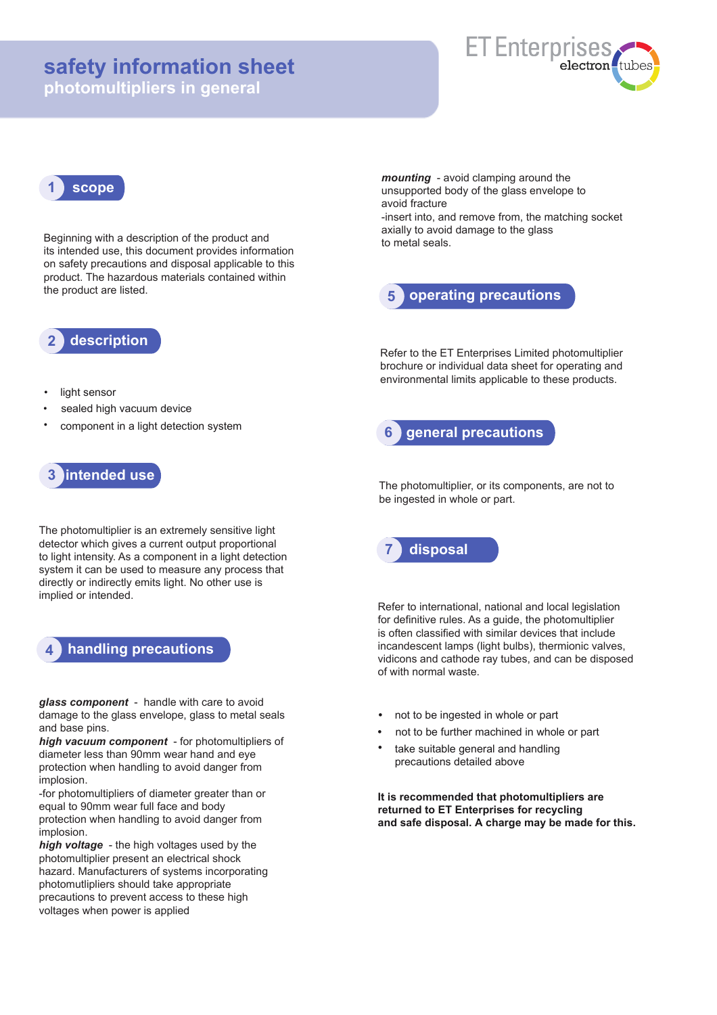# **safety information sheet**

**photomultipliers in general**



## **1 scope**

Beginning with a description of the product and its intended use, this document provides information on safety precautions and disposal applicable to this product. The hazardous materials contained within the product are listed.

**2 description**

- light sensor
- sealed high vacuum device
- component in a light detection system

### **3 intended use**

The photomultiplier is an extremely sensitive light detector which gives a current output proportional to light intensity. As a component in a light detection system it can be used to measure any process that directly or indirectly emits light. No other use is implied or intended.

## **4 handling precautions**

*glass component* - handle with care to avoid damage to the glass envelope, glass to metal seals and base pins.

*high vacuum component* - for photomultipliers of diameter less than 90mm wear hand and eye protection when handling to avoid danger from implosion.

-for photomultipliers of diameter greater than or equal to 90mm wear full face and body protection when handling to avoid danger from implosion.

*high voltage* - the high voltages used by the photomultiplier present an electrical shock hazard. Manufacturers of systems incorporating photomutlipliers should take appropriate precautions to prevent access to these high voltages when power is applied

*mounting* - avoid clamping around the unsupported body of the glass envelope to avoid fracture

-insert into, and remove from, the matching socket axially to avoid damage to the glass to metal seals.



Refer to the ET Enterprises Limited photomultiplier brochure or individual data sheet for operating and environmental limits applicable to these products.



The photomultiplier, or its components, are not to be ingested in whole or part.



Refer to international, national and local legislation for definitive rules. As a guide, the photomultiplier is often classified with similar devices that include incandescent lamps (light bulbs), thermionic valves, vidicons and cathode ray tubes, and can be disposed of with normal waste.

- **•** not to be ingested in whole or part
- **•** not to be further machined in whole or part
- **•** take suitable general and handling precautions detailed above

**It is recommended that photomultipliers are returned to ET Enterprises for recycling and safe disposal. A charge may be made for this.**